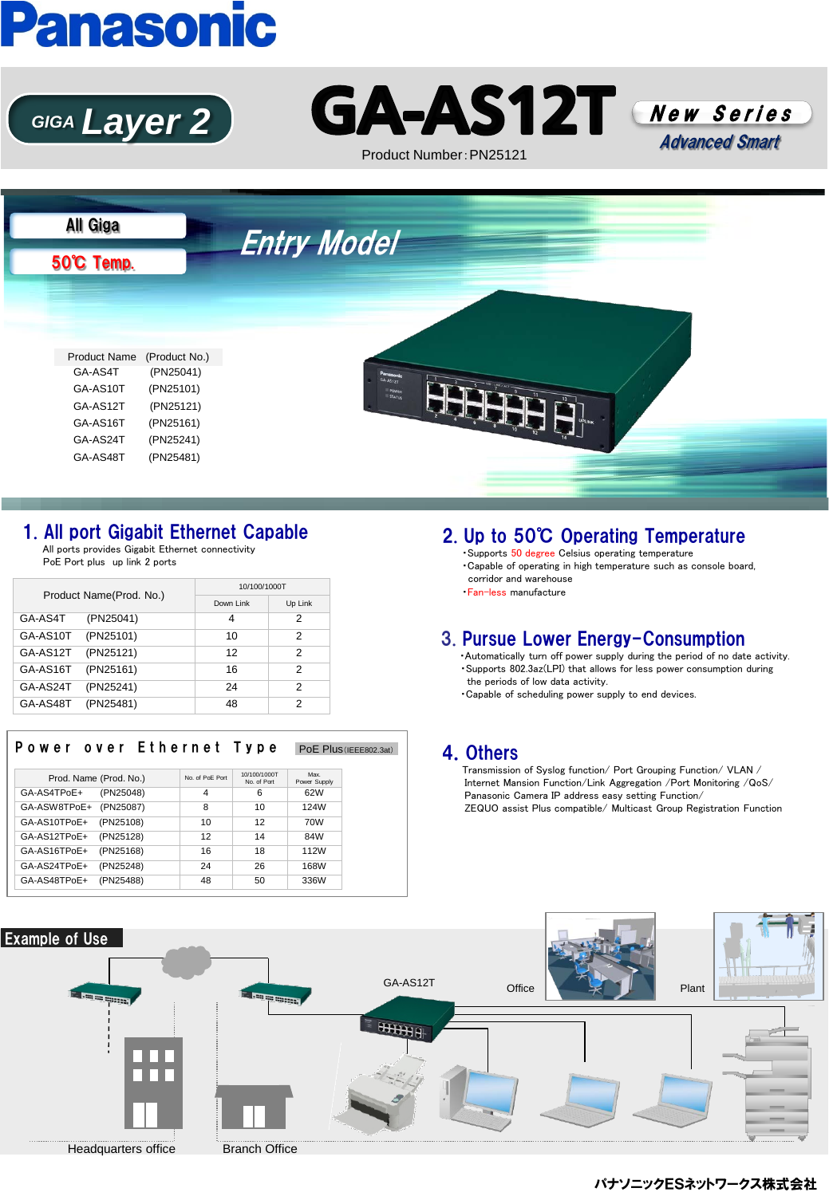# **Panasonic**







Product Number:PN25121

### Entry Model 50℃ Temp. All Giga Product Name (Product No.) GA-AS4T (PN25041) GA-AS10T (PN25101) GA-AS12T (PN25121) GA-AS16T (PN25161) GA-AS24T (PN25241) GA-AS48T (PN25481)

#### 1. All port Gigabit Ethernet Capable

 All ports provides Gigabit Ethernet connectivity PoE Port plus up link 2 ports

| Product Name(Prod. No.) |           | 10/100/1000T |         |  |
|-------------------------|-----------|--------------|---------|--|
|                         |           | Down Link    | Up Link |  |
| GA-AS4T                 | (PN25041) | 4            | 2       |  |
| GA-AS10T                | (PN25101) | 10           | 2       |  |
| GA-AS12T                | (PN25121) | 12           | 2       |  |
| GA-AS16T                | (PN25161) | 16           | 2       |  |
| GA-AS24T                | (PN25241) | 24           | 2       |  |
| GA-AS48T                | (PN25481) | 48           | 2       |  |

#### Power over Ethernet Type PoE Plus (IEEE802.3at)

| Prod. Name (Prod. No.) |           | No. of PoF Port | 10/100/1000T<br>No. of Port | Max.<br>Power Supply |
|------------------------|-----------|-----------------|-----------------------------|----------------------|
| GA-AS4TPoE+            | (PN25048) | 4               | 6                           | 62W                  |
| GA-ASW8TPoE+           | (PN25087) | 8               | 10                          | 124W                 |
| GA-AS10TPoE+           | (PN25108) | 10              | 12                          | 70W                  |
| GA-AS12TPoE+           | (PN25128) | 12              | 14                          | 84W                  |
| GA-AS16TPoE+           | (PN25168) | 16              | 18                          | 112W                 |
| GA-AS24TPoE+           | (PN25248) | 24              | 26                          | 168W                 |
| GA-AS48TPoE+           | (PN25488) | 48              | 50                          | 336W                 |

#### 2. Up to 50℃ Operating Temperature

・Supports 50 degree Celsius operating temperature ・Capable of operating in high temperature such as console board, corridor and warehouse ・Fan-less manufacture

#### 3. Pursue Lower Energy-Consumption

 ・Automatically turn off power supply during the period of no date activity. ・Supports 802.3az(LPI) that allows for less power consumption during the periods of low data activity.

・Capable of scheduling power supply to end devices.

#### 4.Others

 Transmission of Syslog function/ Port Grouping Function/ VLAN / Internet Mansion Function/Link Aggregation /Port Monitoring /QoS/ Panasonic Camera IP address easy setting Function/ ZEQUO assist Plus compatible/ Multicast Group Registration Function



パナソニックESネットワークス株式会社